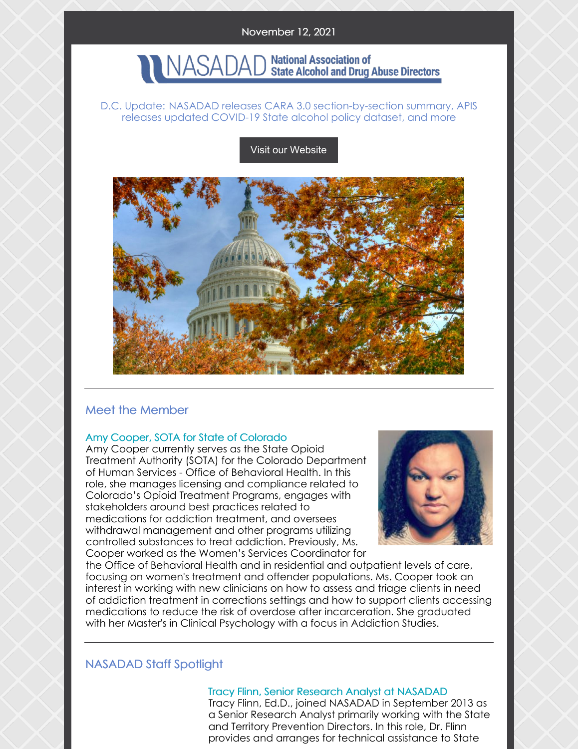# NASADAD National Association of<br>NASADAD State Alcohol and Drug Abuse Directors

#### D.C. Update: NASADAD releases CARA 3.0 section-by-section summary, APIS releases updated COVID-19 State alcohol policy dataset, and more

Visit our [Website](http://www.nasadad.org)



### Meet the Member

#### Amy Cooper, SOTA for State of Colorado

Amy Cooper currently serves as the State Opioid Treatment Authority (SOTA) for the Colorado Department of Human Services - Office of Behavioral Health. In this role, she manages licensing and compliance related to Colorado's Opioid Treatment Programs, engages with stakeholders around best practices related to medications for addiction treatment, and oversees withdrawal management and other programs utilizing controlled substances to treat addiction. Previously, Ms. Cooper worked as the Women's Services Coordinator for



the Office of Behavioral Health and in residential and outpatient levels of care, focusing on women's treatment and offender populations. Ms. Cooper took an interest in working with new clinicians on how to assess and triage clients in need of addiction treatment in corrections settings and how to support clients accessing medications to reduce the risk of overdose after incarceration. She graduated with her Master's in Clinical Psychology with a focus in Addiction Studies.

### NASADAD Staff Spotlight

#### Tracy Flinn, Senior Research Analyst at NASADAD Tracy Flinn, Ed.D., joined NASADAD in September 2013 as a Senior Research Analyst primarily working with the State and Territory Prevention Directors. In this role, Dr. Flinn provides and arranges for technical assistance to State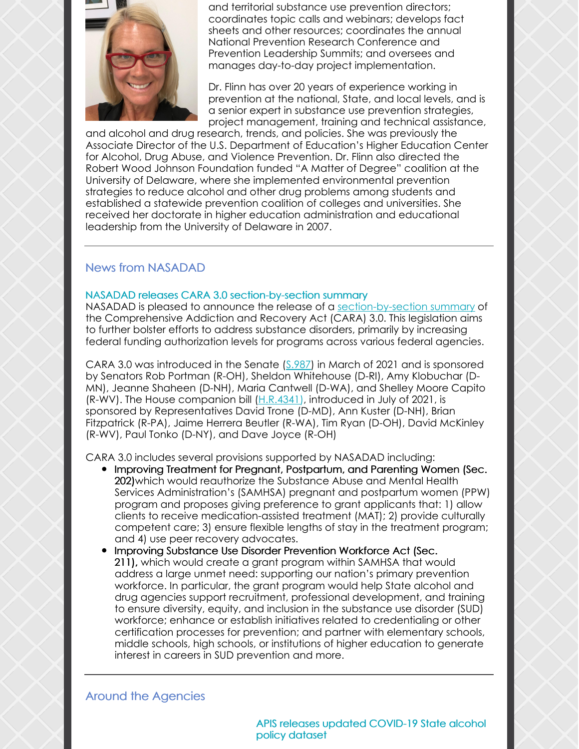

and territorial substance use prevention directors; coordinates topic calls and webinars; develops fact sheets and other resources; coordinates the annual National Prevention Research Conference and Prevention Leadership Summits; and oversees and manages day-to-day project implementation.

Dr. Flinn has over 20 years of experience working in prevention at the national, State, and local levels, and is a senior expert in substance use prevention strategies, project management, training and technical assistance,

and alcohol and drug research, trends, and policies. She was previously the Associate Director of the U.S. Department of Education's Higher Education Center for Alcohol, Drug Abuse, and Violence Prevention. Dr. Flinn also directed the Robert Wood Johnson Foundation funded "A Matter of Degree" coalition at the University of Delaware, where she implemented environmental prevention strategies to reduce alcohol and other drug problems among students and established a statewide prevention coalition of colleges and universities. She received her doctorate in higher education administration and educational leadership from the University of Delaware in 2007.

# News from NASADAD

#### NASADAD releases CARA 3.0 section-by-section summary

NASADAD is pleased to announce the release of a [section-by-section](https://urldefense.com/v3/__https:/nasadad.org/2021/11/cara-3-0-section-by-section-summary/__;!!EErPFA7f--AJOw!UkJRh2EUUKtly4iHGUFI_G8HwiOHWU56RFsCS3x9bS5RwxCfhwg1ha1mvUTU2wyxbu8%24) summary of the Comprehensive Addiction and Recovery Act (CARA) 3.0. This legislation aims to further bolster efforts to address substance disorders, primarily by increasing federal funding authorization levels for programs across various federal agencies.

CARA 3.0 was introduced in the Senate [\(S.987](https://urldefense.com/v3/__https:/www.congress.gov/bill/117th-congress/senate-bill/987?q=*7B*22search*22*3A*5B*22s987*22*2C*22s987*22*5D*7D&s=4&r=1__;JSUlJSUlJSUlJSUl!!EErPFA7f--AJOw!UkJRh2EUUKtly4iHGUFI_G8HwiOHWU56RFsCS3x9bS5RwxCfhwg1ha1mvUTUtX04OHk%24)) in March of 2021 and is sponsored by Senators Rob Portman (R-OH), Sheldon Whitehouse (D-RI), Amy Klobuchar (D-MN), Jeanne Shaheen (D-NH), Maria Cantwell (D-WA), and Shelley Moore Capito (R-WV). The House companion bill  $(H.R.4341)$  $(H.R.4341)$ , introduced in July of 2021, is sponsored by Representatives David Trone (D-MD), Ann Kuster (D-NH), Brian Fitzpatrick (R-PA), Jaime Herrera Beutler (R-WA), Tim Ryan (D-OH), David McKinley (R-WV), Paul Tonko (D-NY), and Dave Joyce (R-OH)

CARA 3.0 includes several provisions supported by NASADAD including:

- Improving Treatment for Pregnant, Postpartum, and Parenting Women (Sec. 202) which would reauthorize the Substance Abuse and Mental Health Services Administration's (SAMHSA) pregnant and postpartum women (PPW) program and proposes giving preference to grant applicants that: 1) allow clients to receive medication-assisted treatment (MAT); 2) provide culturally competent care; 3) ensure flexible lengths of stay in the treatment program; and 4) use peer recovery advocates.
- **Improving Substance Use Disorder Prevention Workforce Act (Sec.** 211), which would create a grant program within SAMHSA that would address a large unmet need: supporting our nation's primary prevention workforce. In particular, the grant program would help State alcohol and drug agencies support recruitment, professional development, and training to ensure diversity, equity, and inclusion in the substance use disorder (SUD) workforce; enhance or establish initiatives related to credentialing or other certification processes for prevention; and partner with elementary schools, middle schools, high schools, or institutions of higher education to generate interest in careers in SUD prevention and more.

# Around the Agencies

APIS releases updated COVID-19 State alcohol policy dataset